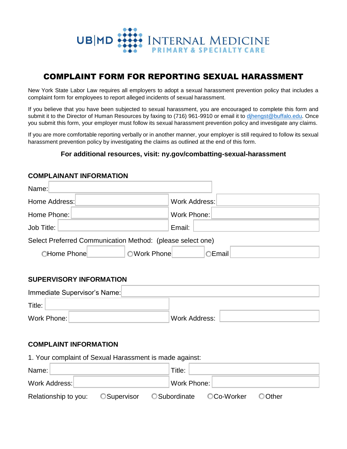

# COMPLAINT FORM FOR REPORTING SEXUAL HARASSMENT

New York State Labor Law requires all employers to adopt a sexual harassment prevention policy that includes a complaint form for employees to report alleged incidents of sexual harassment.

If you believe that you have been subjected to sexual harassment, you are encouraged to complete this form and submit it to the Director of Human Resources by faxing to (716) 961-9910 or email it to [djhengst@buffalo.edu.](mailto:djhengst@buffalo.edu) Once you submit this form, your employer must follow its sexual harassment prevention policy and investigate any claims.

If you are more comfortable reporting verbally or in another manner, your employer is still required to follow its sexual harassment prevention policy by investigating the claims as outlined at the end of this form.

# **For additional resources, visit: ny.gov/combatting-sexual-harassment**

### **COMPLAINANT INFORMATION**

| Name:                                                      |                      |  |  |  |  |
|------------------------------------------------------------|----------------------|--|--|--|--|
| Home Address:                                              | <b>Work Address:</b> |  |  |  |  |
| Home Phone:                                                | Work Phone:          |  |  |  |  |
| Job Title:                                                 | Email:               |  |  |  |  |
| Select Preferred Communication Method: (please select one) |                      |  |  |  |  |
| <b>CHome Phone</b>                                         | OWork Phone<br>Email |  |  |  |  |

# **SUPERVISORY INFORMATION**

|             | Immediate Supervisor's Name: |               |  |
|-------------|------------------------------|---------------|--|
| Title:      |                              |               |  |
| Work Phone: |                              | Work Address: |  |

# **COMPLAINT INFORMATION**

| 1. Your complaint of Sexual Harassment is made against: |                    |  |                      |            |                |  |  |  |
|---------------------------------------------------------|--------------------|--|----------------------|------------|----------------|--|--|--|
| Name:                                                   |                    |  |                      | Title:     |                |  |  |  |
| Work Address:                                           |                    |  | Work Phone:          |            |                |  |  |  |
| Relationship to you:                                    | <b>OSupervisor</b> |  | <b>O</b> Subordinate | ○Co-Worker | <b>O</b> Other |  |  |  |